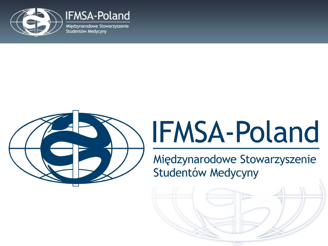



# **IFMSA-Poland**

Międzynarodowe Stowarzyszenie **Studentów Medycyny** 

**TEMP**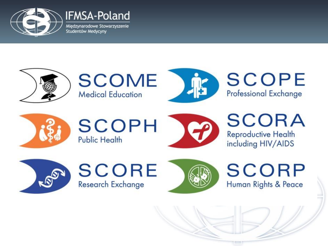



**TEMP**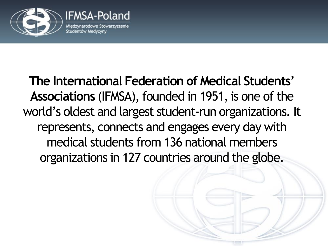

### **The International Federation of Medical Students' Associations** (IFMSA), founded in 1951, is one of the world's oldest and largest student-run organizations. It represents, connects and engages every day with medical students from 136 national members organizations in 127 countries around the globe.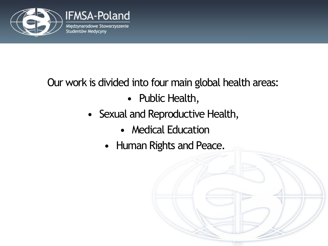

#### Our work is divided into four main global health areas:

- Public Health,
- Sexual and Reproductive Health,
	- Medical Education
	- Human Rights and Peace.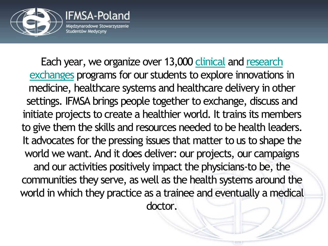

Each year, we organize over 13,000 [clinical](http://ifmsa.org/professional-exchanges/) and research [exchanges](http://ifmsa.org/research-exchanges/) programs for our students to explore innovations in medicine, healthcare systems and healthcare delivery in other settings. IFMSA brings people together to exchange, discuss and initiate projects to create a healthier world. It trains its members to give them the skills and resources needed to be health leaders. It advocates for the pressing issues that matter to us to shape the world we want. And it does deliver: our projects, our campaigns and our activities positively impact the physicians-to be, the communities they serve, as well as the health systems around the world in which they practice as a trainee and eventually a medical doctor.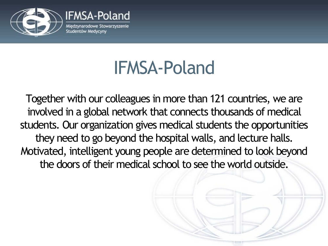

## IFMSA-Poland

Together with our colleagues in more than 121 countries, we are involved in a global network that connects thousands of medical students. Our organization gives medical students the opportunities they need to go beyond the hospital walls, and lecture halls. Motivated, intelligent young people are determined to look beyond the doors of their medical school to see the world outside.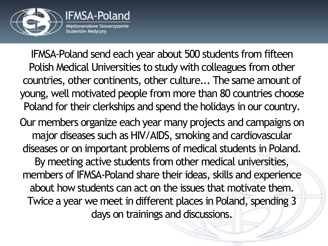

IFMSA-Poland send each year about 500 students from fifteen Polish Medical Universities to study with colleagues from other countries, other continents, other culture... The same amount of young, well motivated people from more than 80 countries choose Poland for their clerkships and spend the holidays in our country.

Our members organize each year many projects and campaigns on major diseases such as HIV/AIDS, smoking and cardiovascular diseases or on important problems of medical students in Poland. By meeting active students from other medical universities, members of IFMSA-Poland share their ideas, skills and experience about how students can act on the issues that motivate them. Twice a year we meet in different places in Poland, spending 3 days on trainings and discussions.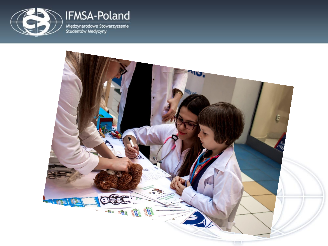



Międzynarodowe Stowarzyszenie<br>Studentów Medycyny

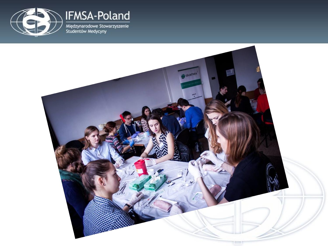



Międzynarodowe Stowarzyszenie<br>Studentów Medycyny

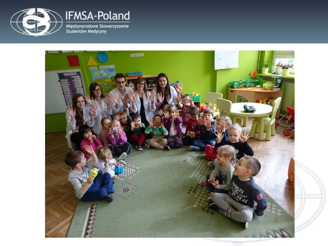



Międzynarodowe Stowarzyszenie<br>Studentów Medycyny